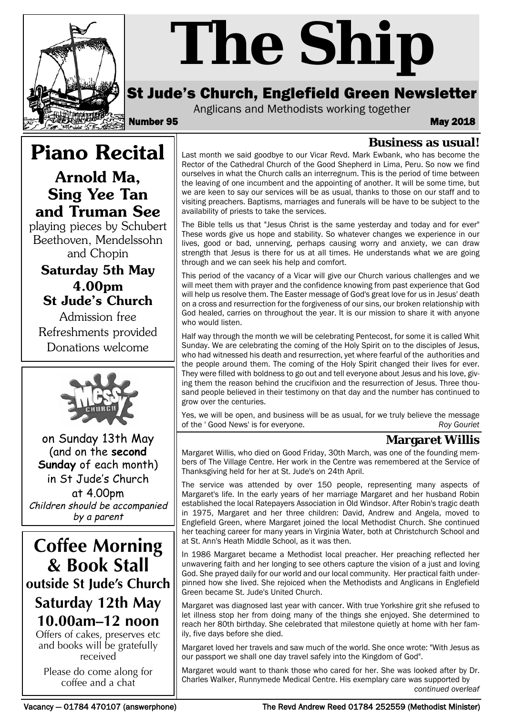

# *The Ship*

# St Jude's Church, Englefield Green Newsletter

Anglicans and Methodists working together

Number 95 May 2018

# **Piano Recital**

**Arnold Ma, Sing Yee Tan and Truman See**

playing pieces by Schubert Beethoven, Mendelssohn and Chopin

# **Saturday 5th May 4.00pm St Jude's Church**

Admission free Refreshments provided Donations welcome



on Sunday 13th May (and on the **second Sunday** of each month) in St Jude's Church at 4.00pm Children should be accompanied by a parent

**Coffee Morning & Book Stall outside St Jude's Church Saturday 12th May 10.00am–12 noon**

Offers of cakes, preserves etc and books will be gratefully received

Please do come along for coffee and a chat

**Business as usual!** Last month we said goodbye to our Vicar Revd. Mark Ewbank, who has become the Rector of the Cathedral Church of the Good Shepherd in Lima, Peru. So now we find ourselves in what the Church calls an interregnum. This is the period of time between the leaving of one incumbent and the appointing of another. It will be some time, but we are keen to say our services will be as usual, thanks to those on our staff and to visiting preachers. Baptisms, marriages and funerals will be have to be subject to the availability of priests to take the services.

The Bible tells us that "Jesus Christ is the same yesterday and today and for ever" These words give us hope and stability. So whatever changes we experience in our lives, good or bad, unnerving, perhaps causing worry and anxiety, we can draw strength that Jesus is there for us at all times. He understands what we are going through and we can seek his help and comfort.

This period of the vacancy of a Vicar will give our Church various challenges and we will meet them with prayer and the confidence knowing from past experience that God will help us resolve them. The Easter message of God's great love for us in Jesus' death on a cross and resurrection for the forgiveness of our sins, our broken relationship with God healed, carries on throughout the year. It is our mission to share it with anyone who would listen.

Half way through the month we will be celebrating Pentecost, for some it is called Whit Sunday. We are celebrating the coming of the Holy Spirit on to the disciples of Jesus, who had witnessed his death and resurrection, yet where fearful of the authorities and the people around them. The coming of the Holy Spirit changed their lives for ever. They were filled with boldness to go out and tell everyone about Jesus and his love, giving them the reason behind the crucifixion and the resurrection of Jesus. Three thousand people believed in their testimony on that day and the number has continued to grow over the centuries.

Yes, we will be open, and business will be as usual, for we truly believe the message of the ' Good News' is for everyone. *Roy Gouriet*

# **Margaret Willis**

Margaret Willis, who died on Good Friday, 30th March, was one of the founding members of The Village Centre. Her work in the Centre was remembered at the Service of Thanksgiving held for her at St. Jude's on 24th April.

The service was attended by over 150 people, representing many aspects of Margaret's life. In the early years of her marriage Margaret and her husband Robin established the local Ratepayers Association in Old Windsor. After Robin's tragic death in 1975, Margaret and her three children: David, Andrew and Angela, moved to Englefield Green, where Margaret joined the local Methodist Church. She continued her teaching career for many years in Virginia Water, both at Christchurch School and at St. Ann's Heath Middle School, as it was then.

In 1986 Margaret became a Methodist local preacher. Her preaching reflected her unwavering faith and her longing to see others capture the vision of a just and loving God. She prayed daily for our world and our local community. Her practical faith underpinned how she lived. She rejoiced when the Methodists and Anglicans in Englefield Green became St. Jude's United Church.

Margaret was diagnosed last year with cancer. With true Yorkshire grit she refused to let illness stop her from doing many of the things she enjoyed. She determined to reach her 80th birthday. She celebrated that milestone quietly at home with her family, five days before she died.

Margaret loved her travels and saw much of the world. She once wrote: "With Jesus as our passport we shall one day travel safely into the Kingdom of God".

Margaret would want to thank those who cared for her. She was looked after by Dr. Charles Walker, Runnymede Medical Centre. His exemplary care was supported by *continued overleaf*